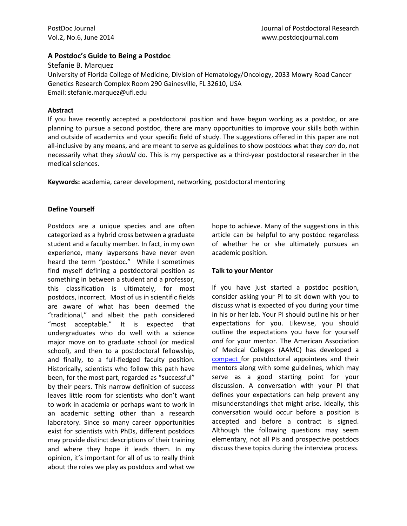## **A Postdoc's Guide to Being a Postdoc**

Stefanie B. Marquez University of Florida College of Medicine, Division of Hematology/Oncology, 2033 Mowry Road Cancer Genetics Research Complex Room 290 Gainesville, FL 32610, USA Email: stefanie.marquez@ufl.edu

### **Abstract**

If you have recently accepted a postdoctoral position and have begun working as a postdoc, or are planning to pursue a second postdoc, there are many opportunities to improve your skills both within and outside of academics and your specific field of study. The suggestions offered in this paper are not all-inclusive by any means, and are meant to serve as guidelines to show postdocs what they *can* do, not necessarily what they *should* do. This is my perspective as a third-year postdoctoral researcher in the medical sciences.

**Keywords:** academia, career development, networking, postdoctoral mentoring

## **Define Yourself**

Postdocs are a unique species and are often categorized as a hybrid cross between a graduate student and a faculty member. In fact, in my own experience, many laypersons have never even heard the term "postdoc." While I sometimes find myself defining a postdoctoral position as something in between a student and a professor, this classification is ultimately, for most postdocs, incorrect. Most of us in scientific fields are aware of what has been deemed the "traditional," and albeit the path considered "most acceptable." It is expected that undergraduates who do well with a science major move on to graduate school (or medical school), and then to a postdoctoral fellowship, and finally, to a full-fledged faculty position. Historically, scientists who follow this path have been, for the most part, regarded as "successful" by their peers. This narrow definition of success leaves little room for scientists who don't want to work in academia or perhaps want to work in an academic setting other than a research laboratory. Since so many career opportunities exist for scientists with PhDs, different postdocs may provide distinct descriptions of their training and where they hope it leads them. In my opinion, it's important for all of us to really think about the roles we play as postdocs and what we

hope to achieve. Many of the suggestions in this article can be helpful to any postdoc regardless of whether he or she ultimately pursues an academic position.

# **Talk to your Mentor**

If you have just started a postdoc position, consider asking your PI to sit down with you to discuss what is expected of you during your time in his or her lab. Your PI should outline his or her expectations for you. Likewise, you should outline the expectations you have for yourself *and* for your mentor. The American Association of Medical Colleges (AAMC) has developed a [compact](https://www.aamc.org/initiatives/research/postdoccompact/) for postdoctoral appointees and their mentors along with some guidelines, which may serve as a good starting point for your discussion. A conversation with your PI that defines your expectations can help prevent any misunderstandings that might arise. Ideally, this conversation would occur before a position is accepted and before a contract is signed. Although the following questions may seem elementary, not all PIs and prospective postdocs discuss these topics during the interview process.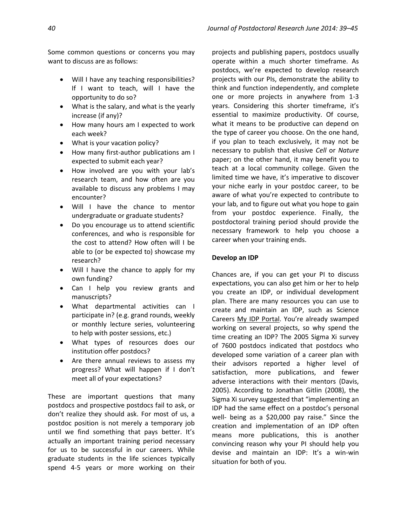Some common questions or concerns you may want to discuss are as follows:

- Will I have any teaching responsibilities? If I want to teach, will I have the opportunity to do so?
- What is the salary, and what is the yearly increase (if any)?
- How many hours am I expected to work each week?
- What is your vacation policy?
- How many first-author publications am I expected to submit each year?
- How involved are you with your lab's research team, and how often are you available to discuss any problems I may encounter?
- Will I have the chance to mentor undergraduate or graduate students?
- Do you encourage us to attend scientific conferences, and who is responsible for the cost to attend? How often will I be able to (or be expected to) showcase my research?
- Will I have the chance to apply for my own funding?
- Can I help you review grants and manuscripts?
- What departmental activities can I participate in? (e.g. grand rounds, weekly or monthly lecture series, volunteering to help with poster sessions, etc.)
- What types of resources does our institution offer postdocs?
- Are there annual reviews to assess my progress? What will happen if I don't meet all of your expectations?

These are important questions that many postdocs and prospective postdocs fail to ask, or don't realize they should ask. For most of us, a postdoc position is not merely a temporary job until we find something that pays better. It's actually an important training period necessary for us to be successful in our careers. While graduate students in the life sciences typically spend 4-5 years or more working on their projects and publishing papers, postdocs usually operate within a much shorter timeframe. As postdocs, we're expected to develop research projects with our PIs, demonstrate the ability to think and function independently, and complete one or more projects in anywhere from 1-3 years. Considering this shorter timeframe, it's essential to maximize productivity. Of course, what it means to be productive can depend on the type of career you choose. On the one hand, if you plan to teach exclusively, it may not be necessary to publish that elusive *Cell* or *Nature* paper; on the other hand, it may benefit you to teach at a local community college. Given the limited time we have, it's imperative to discover your niche early in your postdoc career, to be aware of what you're expected to contribute to your lab, and to figure out what you hope to gain from your postdoc experience. Finally, the postdoctoral training period should provide the necessary framework to help you choose a career when your training ends.

## **Develop an IDP**

Chances are, if you can get your PI to discuss expectations, you can also get him or her to help you create an IDP, or individual development plan. There are many resources you can use to create and maintain an IDP, such as Science Careers [My IDP Portal](http://myidp.sciencecareers.org/). You're already swamped working on several projects, so why spend the time creating an IDP? The 2005 Sigma Xi survey of 7600 postdocs indicated that postdocs who developed some variation of a career plan with their advisors reported a higher level of satisfaction, more publications, and fewer adverse interactions with their mentors (Davis, 2005). According to Jonathan Gitlin (2008), the Sigma Xi survey suggested that "implementing an IDP had the same effect on a postdoc's personal well- being as a \$20,000 pay raise." Since the creation and implementation of an IDP often means more publications, this is another convincing reason why your PI should help you devise and maintain an IDP: It's a win-win situation for both of you.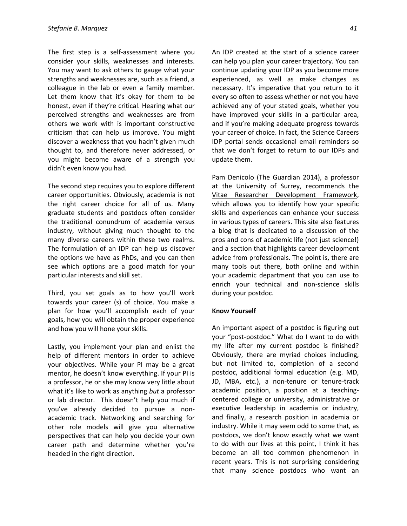The first step is a self-assessment where you consider your skills, weaknesses and interests. You may want to ask others to gauge what your strengths and weaknesses are, such as a friend, a colleague in the lab or even a family member. Let them know that it's okay for them to be honest, even if they're critical. Hearing what our perceived strengths and weaknesses are from others we work with is important constructive criticism that can help us improve. You might discover a weakness that you hadn't given much thought to, and therefore never addressed, or you might become aware of a strength you didn't even know you had.

The second step requires you to explore different career opportunities. Obviously, academia is not the right career choice for all of us. Many graduate students and postdocs often consider the traditional conundrum of academia versus industry, without giving much thought to the many diverse careers within these two realms. The formulation of an IDP can help us discover the options we have as PhDs, and you can then see which options are a good match for your particular interests and skill set.

Third, you set goals as to how you'll work towards your career (s) of choice. You make a plan for how you'll accomplish each of your goals, how you will obtain the proper experience and how you will hone your skills.

Lastly, you implement your plan and enlist the help of different mentors in order to achieve your objectives. While your PI may be a great mentor, he doesn't know everything. If your PI is a professor, he or she may know very little about what it's like to work as anything *but* a professor or lab director. This doesn't help you much if you've already decided to pursue a nonacademic track. Networking and searching for other role models will give you alternative perspectives that can help you decide your own career path and determine whether you're headed in the right direction.

An IDP created at the start of a science career can help you plan your career trajectory. You can continue updating your IDP as you become more experienced, as well as make changes as necessary. It's imperative that you return to it every so often to assess whether or not you have achieved any of your stated goals, whether you have improved your skills in a particular area, and if you're making adequate progress towards your career of choice. In fact, the Science Careers IDP portal sends occasional email reminders so that we don't forget to return to our IDPs and update them.

Pam Denicolo (The Guardian 2014), a professor at the University of Surrey, recommends the [Vitae Researcher Development Framework,](http://www.vitae.ac.uk/researchers/428241/Researcher-Development-Framework.html) which allows you to identify how your specific skills and experiences can enhance your success in various types of careers. This site also features a [blog](http://www.theguardian.com/higher-education-network/blog) that is dedicated to a discussion of the pros and cons of academic life (not just science!) and a section that highlights career development advice from professionals. The point is, there are many tools out there, both online and within your academic department that you can use to enrich your technical and non-science skills during your postdoc.

#### **Know Yourself**

An important aspect of a postdoc is figuring out your "post-postdoc." What do I want to do with my life after my current postdoc is finished? Obviously, there are myriad choices including, but not limited to, completion of a second postdoc, additional formal education (e.g. MD, JD, MBA, etc.), a non-tenure or tenure-track academic position, a position at a teachingcentered college or university, administrative or executive leadership in academia or industry, and finally, a research position in academia or industry. While it may seem odd to some that, as postdocs, we don't know exactly what we want to do with our lives at this point, I think it has become an all too common phenomenon in recent years. This is not surprising considering that many science postdocs who want an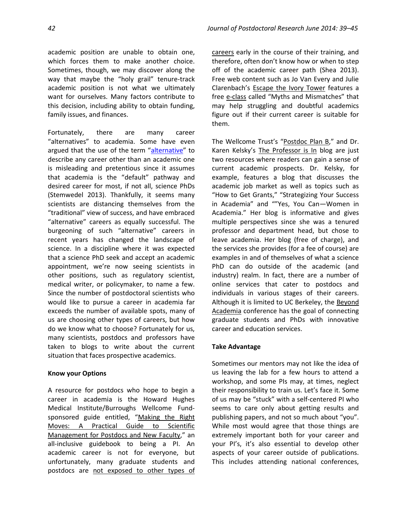academic position are unable to obtain one, which forces them to make another choice. Sometimes, though, we may discover along the way that maybe the "holy grail" tenure-track academic position is not what we ultimately want for ourselves. Many factors contribute to this decision, including ability to obtain funding, family issues, and finances.

Fortunately, there are many career "alternatives" to academia. Some have even argued that the use of the term "[alternative](http://blogs.scientificamerican.com/doing-good-science/2013/11/30/careers-not-just-jobs-for-ph-d-s-outside-the-academy/)" to describe any career other than an academic one is misleading and pretentious since it assumes that academia is the "default" pathway and desired career for most, if not all, science PhDs (Stemwedel 2013). Thankfully, it seems many scientists are distancing themselves from the "traditional" view of success, and have embraced "alternative" careers as equally successful. The burgeoning of such "alternative" careers in recent years has changed the landscape of science. In a discipline where it was expected that a science PhD seek and accept an academic appointment, we're now seeing scientists in other positions, such as regulatory scientist, medical writer, or policymaker, to name a few. Since the number of postdoctoral scientists who would like to pursue a career in academia far exceeds the number of available spots, many of us are choosing other types of careers, but how do we know what to choose? Fortunately for us, many scientists, postdocs and professors have taken to blogs to write about the current situation that faces prospective academics.

# **Know your Options**

A resource for postdocs who hope to begin a career in academia is the Howard Hughes Medical Institute/Burroughs Wellcome Fundsponsored guide entitled, "[Making the Right](http://www.hhmi.org/sites/default/files/Educational%20Materials/Lab%20Management/Making%20the%20Right%20Moves/moves2.pdf)  [Moves: A Practical Guide to Scientific](http://www.hhmi.org/sites/default/files/Educational%20Materials/Lab%20Management/Making%20the%20Right%20Moves/moves2.pdf)  [Management for Postdocs and New Faculty](http://www.hhmi.org/sites/default/files/Educational%20Materials/Lab%20Management/Making%20the%20Right%20Moves/moves2.pdf)," an all-inclusive guidebook to being a PI. An academic career is not for everyone, but unfortunately, many graduate students and postdocs are not exposed to other types of [careers](http://chronicle.com/article/Its-Time-for-Graduate-Science/137541/) early in the course of their training, and therefore, often don't know how or when to step off of the academic career path (Shea 2013). Free web content such as Jo Van Every and Julie Clarenbach's [Escape the Ivory Tower](http://www.escapetheivorytower.com/) features a free [e-class](http://www.joandjulie.com/myths-and-mismatches-ecourse/) called "Myths and Mismatches" that may help struggling and doubtful academics figure out if their current career is suitable for them.

The Wellcome Trust's "[Postdoc Plan B](http://www.hhmi.org/sites/default/files/Educational%20Materials/Lab%20Management/Making%20the%20Right%20Moves/moves2.pdf)," and Dr. Karen Kelsky's [The Professor is In](http://theprofessorisin.com/) blog are just two resources where readers can gain a sense of current academic prospects. Dr. Kelsky, for example, features a blog that discusses the academic job market as well as topics such as "How to Get Grants," "Strategizing Your Success in Academia" and ""Yes, You Can—Women in Academia." Her blog is informative and gives multiple perspectives since she was a tenured professor and department head, but chose to leave academia. Her blog (free of charge), and the services she provides (for a fee of course) are examples in and of themselves of what a science PhD can do outside of the academic (and industry) realm. In fact, there are a number of online services that cater to postdocs and individuals in various stages of their careers. Although it is limited to UC Berkeley, the Beyond [Academia](http://www.beyondacademia.org/) conference has the goal of connecting graduate students and PhDs with innovative career and education services.

# **Take Advantage**

Sometimes our mentors may not like the idea of us leaving the lab for a few hours to attend a workshop, and some PIs may, at times, neglect their responsibility to train us. Let's face it. Some of us may be "stuck" with a self-centered PI who seems to care only about getting results and publishing papers, and not so much about "you". While most would agree that those things are extremely important both for your career and your PI's, it's also essential to develop other aspects of your career outside of publications. This includes attending national conferences,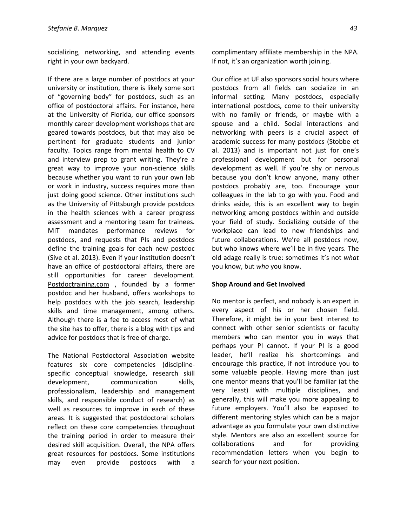socializing, networking, and attending events right in your own backyard.

If there are a large number of postdocs at your university or institution, there is likely some sort of "governing body" for postdocs, such as an office of postdoctoral affairs. For instance, here at the University of Florida, our office sponsors monthly career development workshops that are geared towards postdocs, but that may also be pertinent for graduate students and junior faculty. Topics range from mental health to CV and interview prep to grant writing. They're a great way to improve your non-science skills because whether you want to run your own lab or work in industry, success requires more than just doing good science. Other institutions such as the University of Pittsburgh provide postdocs in the health sciences with a career progress assessment and a mentoring team for trainees. MIT mandates performance reviews for postdocs, and requests that PIs and postdocs define the training goals for each new postdoc (Sive et al. 2013). Even if your institution doesn't have an office of postdoctoral affairs, there are still opportunities for career development. [Postdoctraining.com](http://postdoctraining.com/) , founded by a former postdoc and her husband, offers workshops to help postdocs with the job search, leadership skills and time management, among others. Although there is a fee to access most of what the site has to offer, there is a blog with tips and advice for postdocs that is free of charge.

The [National Postdoctoral Association](http://www.nationalpostdoc.org/) website features six core competencies (disciplinespecific conceptual knowledge, research skill development, communication skills, professionalism, leadership and management skills, and responsible conduct of research) as well as resources to improve in each of these areas. It is suggested that postdoctoral scholars reflect on these core competencies throughout the training period in order to measure their desired skill acquisition. Overall, the NPA offers great resources for postdocs. Some institutions may even provide postdocs with a

complimentary affiliate membership in the NPA. If not, it's an organization worth joining.

Our office at UF also sponsors social hours where postdocs from all fields can socialize in an informal setting. Many postdocs, especially international postdocs, come to their university with no family or friends, or maybe with a spouse and a child. Social interactions and networking with peers is a crucial aspect of academic success for many postdocs (Stobbe et al. 2013) and is important not just for one's professional development but for personal development as well. If you're shy or nervous because you don't know anyone, many other postdocs probably are, too. Encourage your colleagues in the lab to go with you. Food and drinks aside, this is an excellent way to begin networking among postdocs within and outside your field of study. Socializing outside of the workplace can lead to new friendships and future collaborations. We're all postdocs now, but who knows where we'll be in five years. The old adage really is true: sometimes it's not *what* you know, but *who* you know.

#### **Shop Around and Get Involved**

No mentor is perfect, and nobody is an expert in every aspect of his or her chosen field. Therefore, it might be in your best interest to connect with other senior scientists or faculty members who can mentor you in ways that perhaps your PI cannot. If your PI is a good leader, he'll realize his shortcomings and encourage this practice, if not introduce you to some valuable people. Having more than just one mentor means that you'll be familiar (at the very least) with multiple disciplines, and generally, this will make you more appealing to future employers. You'll also be exposed to different mentoring styles which can be a major advantage as you formulate your own distinctive style. Mentors are also an excellent source for collaborations and for providing recommendation letters when you begin to search for your next position.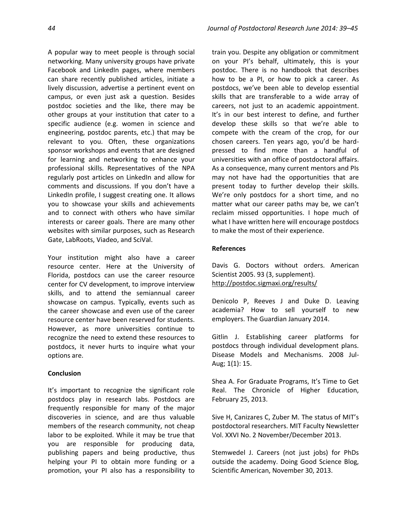A popular way to meet people is through social networking. Many university groups have private Facebook and LinkedIn pages, where members can share recently published articles, initiate a lively discussion, advertise a pertinent event on campus, or even just ask a question. Besides postdoc societies and the like, there may be other groups at your institution that cater to a specific audience (e.g. women in science and engineering, postdoc parents, etc.) that may be relevant to you. Often, these organizations sponsor workshops and events that are designed for learning and networking to enhance your professional skills. Representatives of the NPA regularly post articles on LinkedIn and allow for comments and discussions. If you don't have a LinkedIn profile, I suggest creating one. It allows you to showcase your skills and achievements and to connect with others who have similar interests or career goals. There are many other websites with similar purposes, such as Research Gate, LabRoots, Viadeo, and SciVal.

Your institution might also have a career resource center. Here at the University of Florida, postdocs can use the career resource center for CV development, to improve interview skills, and to attend the semiannual career showcase on campus. Typically, events such as the career showcase and even use of the career resource center have been reserved for students. However, as more universities continue to recognize the need to extend these resources to postdocs, it never hurts to inquire what your options are.

#### **Conclusion**

It's important to recognize the significant role postdocs play in research labs. Postdocs are frequently responsible for many of the major discoveries in science, and are thus valuable members of the research community, not cheap labor to be exploited. While it may be true that you are responsible for producing data, publishing papers and being productive, thus helping your PI to obtain more funding or a promotion, your PI also has a responsibility to

train you. Despite any obligation or commitment on your PI's behalf, ultimately, this is your postdoc. There is no handbook that describes how to be a PI, or how to pick a career. As postdocs, we've been able to develop essential skills that are transferable to a wide array of careers, not just to an academic appointment. It's in our best interest to define, and further develop these skills so that we're able to compete with the cream of the crop, for our chosen careers. Ten years ago, you'd be hardpressed to find more than a handful of universities with an office of postdoctoral affairs. As a consequence, many current mentors and PIs may not have had the opportunities that are present today to further develop their skills. We're only postdocs for a short time, and no matter what our career paths may be, we can't reclaim missed opportunities. I hope much of what I have written here will encourage postdocs to make the most of their experience.

## **References**

Davis G. Doctors without orders. American Scientist 2005. 93 (3, supplement). <http://postdoc.sigmaxi.org/results/>

Denicolo P, Reeves J and Duke D. Leaving academia? How to sell yourself to new employers. The Guardian January 2014.

Gitlin J. Establishing career platforms for postdocs through individual development plans. Disease Models and Mechanisms. 2008 Jul-Aug; 1(1): 15.

Shea A. For Graduate Programs, It's Time to Get Real. The Chronicle of Higher Education, February 25, 2013.

Sive H, Canizares C, Zuber M. The status of MIT's postdoctoral researchers. MIT Faculty Newsletter Vol. XXVI No. 2 November/December 2013.

Stemwedel J. Careers (not just jobs) for PhDs outside the academy. Doing Good Science Blog, Scientific American, November 30, 2013.